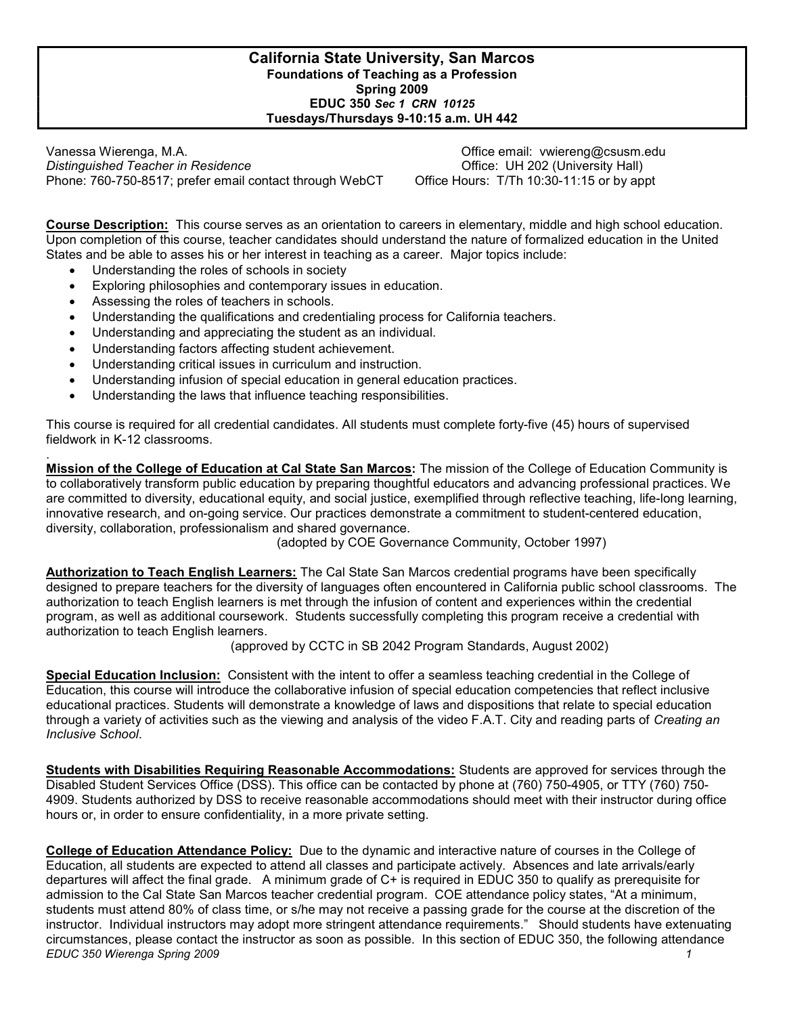### California State University, San Marcos Foundations of Teaching as a Profession Spring 2009 EDUC 350 Sec 1 CRN 10125 Tuesdays/Thursdays 9-10:15 a.m. UH 442

Vanessa Wierenga, M.A. Office email: vwiereng@csusm.edu Distinguished Teacher in Residence **Office: UH 202 (University Hall)** Distinguished Teacher in Residence Phone: 760-750-8517; prefer email contact through WebCT Office Hours: T/Th 10:30-11:15 or by appt

Course Description: This course serves as an orientation to careers in elementary, middle and high school education. Upon completion of this course, teacher candidates should understand the nature of formalized education in the United States and be able to asses his or her interest in teaching as a career. Major topics include:

- Understanding the roles of schools in society
- Exploring philosophies and contemporary issues in education.
- Assessing the roles of teachers in schools.
- Understanding the qualifications and credentialing process for California teachers.
- Understanding and appreciating the student as an individual.
- Understanding factors affecting student achievement.
- Understanding critical issues in curriculum and instruction.
- Understanding infusion of special education in general education practices.
- Understanding the laws that influence teaching responsibilities.

This course is required for all credential candidates. All students must complete forty-five (45) hours of supervised fieldwork in K-12 classrooms.

. Mission of the College of Education at Cal State San Marcos: The mission of the College of Education Community is to collaboratively transform public education by preparing thoughtful educators and advancing professional practices. We are committed to diversity, educational equity, and social justice, exemplified through reflective teaching, life-long learning, innovative research, and on-going service. Our practices demonstrate a commitment to student-centered education, diversity, collaboration, professionalism and shared governance.

(adopted by COE Governance Community, October 1997)

Authorization to Teach English Learners: The Cal State San Marcos credential programs have been specifically designed to prepare teachers for the diversity of languages often encountered in California public school classrooms. The authorization to teach English learners is met through the infusion of content and experiences within the credential program, as well as additional coursework. Students successfully completing this program receive a credential with authorization to teach English learners.

(approved by CCTC in SB 2042 Program Standards, August 2002)

Special Education Inclusion: Consistent with the intent to offer a seamless teaching credential in the College of Education, this course will introduce the collaborative infusion of special education competencies that reflect inclusive educational practices. Students will demonstrate a knowledge of laws and dispositions that relate to special education through a variety of activities such as the viewing and analysis of the video F.A.T. City and reading parts of Creating an Inclusive School.

Students with Disabilities Requiring Reasonable Accommodations: Students are approved for services through the Disabled Student Services Office (DSS). This office can be contacted by phone at (760) 750-4905, or TTY (760) 750- 4909. Students authorized by DSS to receive reasonable accommodations should meet with their instructor during office hours or, in order to ensure confidentiality, in a more private setting.

EDUC 350 Wierenga Spring 2009 1 College of Education Attendance Policy: Due to the dynamic and interactive nature of courses in the College of Education, all students are expected to attend all classes and participate actively. Absences and late arrivals/early departures will affect the final grade. A minimum grade of C+ is required in EDUC 350 to qualify as prerequisite for admission to the Cal State San Marcos teacher credential program. COE attendance policy states, "At a minimum, students must attend 80% of class time, or s/he may not receive a passing grade for the course at the discretion of the instructor. Individual instructors may adopt more stringent attendance requirements." Should students have extenuating circumstances, please contact the instructor as soon as possible. In this section of EDUC 350, the following attendance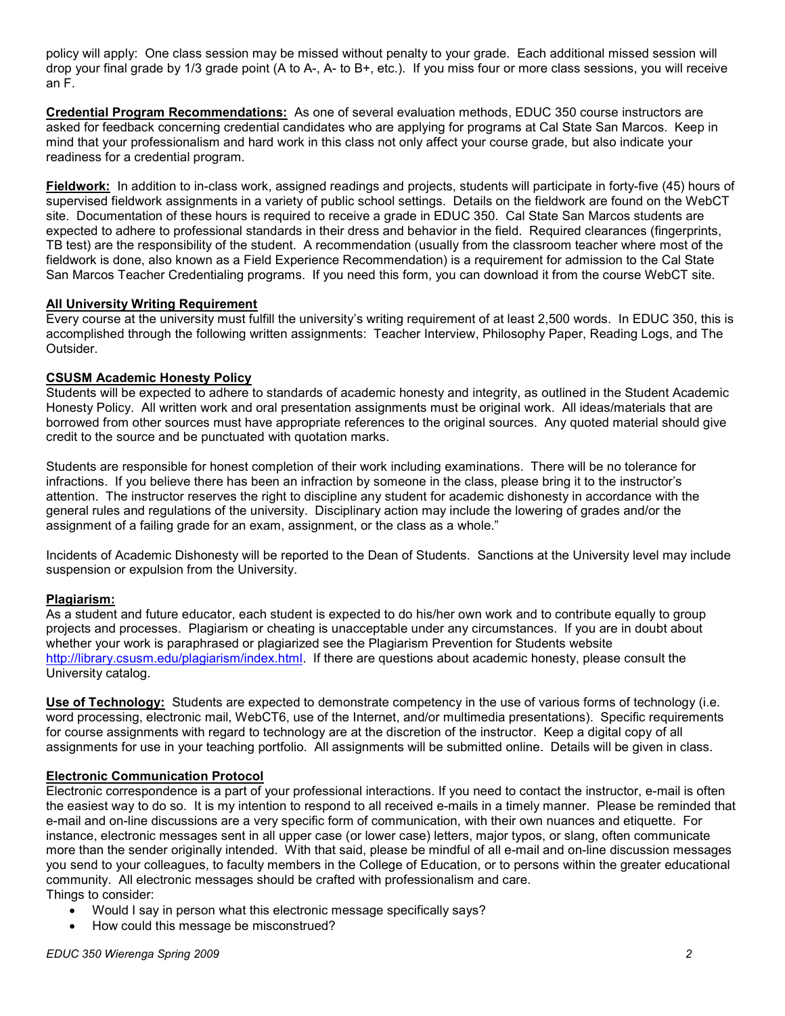policy will apply: One class session may be missed without penalty to your grade. Each additional missed session will drop your final grade by 1/3 grade point (A to A-, A- to B+, etc.). If you miss four or more class sessions, you will receive an F.

Credential Program Recommendations: As one of several evaluation methods, EDUC 350 course instructors are asked for feedback concerning credential candidates who are applying for programs at Cal State San Marcos. Keep in mind that your professionalism and hard work in this class not only affect your course grade, but also indicate your readiness for a credential program.

Fieldwork: In addition to in-class work, assigned readings and projects, students will participate in forty-five (45) hours of supervised fieldwork assignments in a variety of public school settings. Details on the fieldwork are found on the WebCT site. Documentation of these hours is required to receive a grade in EDUC 350. Cal State San Marcos students are expected to adhere to professional standards in their dress and behavior in the field. Required clearances (fingerprints, TB test) are the responsibility of the student. A recommendation (usually from the classroom teacher where most of the fieldwork is done, also known as a Field Experience Recommendation) is a requirement for admission to the Cal State San Marcos Teacher Credentialing programs. If you need this form, you can download it from the course WebCT site.

### All University Writing Requirement

Every course at the university must fulfill the university's writing requirement of at least 2,500 words. In EDUC 350, this is accomplished through the following written assignments: Teacher Interview, Philosophy Paper, Reading Logs, and The Outsider.

### CSUSM Academic Honesty Policy

Students will be expected to adhere to standards of academic honesty and integrity, as outlined in the Student Academic Honesty Policy. All written work and oral presentation assignments must be original work. All ideas/materials that are borrowed from other sources must have appropriate references to the original sources. Any quoted material should give credit to the source and be punctuated with quotation marks.

Students are responsible for honest completion of their work including examinations. There will be no tolerance for infractions. If you believe there has been an infraction by someone in the class, please bring it to the instructor's attention. The instructor reserves the right to discipline any student for academic dishonesty in accordance with the general rules and regulations of the university. Disciplinary action may include the lowering of grades and/or the assignment of a failing grade for an exam, assignment, or the class as a whole."

Incidents of Academic Dishonesty will be reported to the Dean of Students. Sanctions at the University level may include suspension or expulsion from the University.

#### Plagiarism:

As a student and future educator, each student is expected to do his/her own work and to contribute equally to group projects and processes. Plagiarism or cheating is unacceptable under any circumstances. If you are in doubt about whether your work is paraphrased or plagiarized see the Plagiarism Prevention for Students website http://library.csusm.edu/plagiarism/index.html. If there are questions about academic honesty, please consult the University catalog.

Use of Technology: Students are expected to demonstrate competency in the use of various forms of technology (i.e. word processing, electronic mail, WebCT6, use of the Internet, and/or multimedia presentations). Specific requirements for course assignments with regard to technology are at the discretion of the instructor. Keep a digital copy of all assignments for use in your teaching portfolio. All assignments will be submitted online. Details will be given in class.

#### Electronic Communication Protocol

Electronic correspondence is a part of your professional interactions. If you need to contact the instructor, e-mail is often the easiest way to do so. It is my intention to respond to all received e-mails in a timely manner. Please be reminded that e-mail and on-line discussions are a very specific form of communication, with their own nuances and etiquette. For instance, electronic messages sent in all upper case (or lower case) letters, major typos, or slang, often communicate more than the sender originally intended. With that said, please be mindful of all e-mail and on-line discussion messages you send to your colleagues, to faculty members in the College of Education, or to persons within the greater educational community. All electronic messages should be crafted with professionalism and care. Things to consider:

- Would I say in person what this electronic message specifically says?
- How could this message be misconstrued?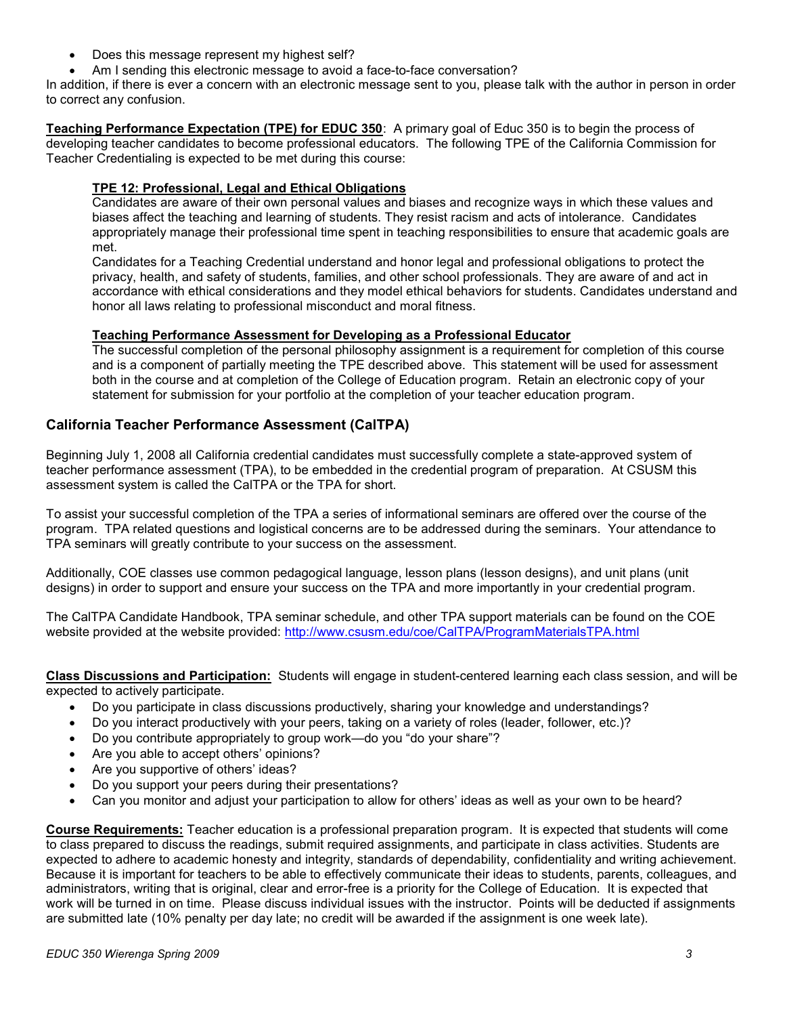- Does this message represent my highest self?
- Am I sending this electronic message to avoid a face-to-face conversation?

In addition, if there is ever a concern with an electronic message sent to you, please talk with the author in person in order to correct any confusion.

Teaching Performance Expectation (TPE) for EDUC 350: A primary goal of Educ 350 is to begin the process of developing teacher candidates to become professional educators. The following TPE of the California Commission for Teacher Credentialing is expected to be met during this course:

### TPE 12: Professional, Legal and Ethical Obligations

Candidates are aware of their own personal values and biases and recognize ways in which these values and biases affect the teaching and learning of students. They resist racism and acts of intolerance. Candidates appropriately manage their professional time spent in teaching responsibilities to ensure that academic goals are met.

Candidates for a Teaching Credential understand and honor legal and professional obligations to protect the privacy, health, and safety of students, families, and other school professionals. They are aware of and act in accordance with ethical considerations and they model ethical behaviors for students. Candidates understand and honor all laws relating to professional misconduct and moral fitness.

#### Teaching Performance Assessment for Developing as a Professional Educator

The successful completion of the personal philosophy assignment is a requirement for completion of this course and is a component of partially meeting the TPE described above. This statement will be used for assessment both in the course and at completion of the College of Education program. Retain an electronic copy of your statement for submission for your portfolio at the completion of your teacher education program.

# California Teacher Performance Assessment (CalTPA)

Beginning July 1, 2008 all California credential candidates must successfully complete a state-approved system of teacher performance assessment (TPA), to be embedded in the credential program of preparation. At CSUSM this assessment system is called the CalTPA or the TPA for short.

To assist your successful completion of the TPA a series of informational seminars are offered over the course of the program. TPA related questions and logistical concerns are to be addressed during the seminars. Your attendance to TPA seminars will greatly contribute to your success on the assessment.

Additionally, COE classes use common pedagogical language, lesson plans (lesson designs), and unit plans (unit designs) in order to support and ensure your success on the TPA and more importantly in your credential program.

The CalTPA Candidate Handbook, TPA seminar schedule, and other TPA support materials can be found on the COE website provided at the website provided: http://www.csusm.edu/coe/CalTPA/ProgramMaterialsTPA.html

Class Discussions and Participation: Students will engage in student-centered learning each class session, and will be expected to actively participate.

- Do you participate in class discussions productively, sharing your knowledge and understandings?
- Do you interact productively with your peers, taking on a variety of roles (leader, follower, etc.)?
- Do you contribute appropriately to group work—do you "do your share"?
- Are you able to accept others' opinions?
- Are you supportive of others' ideas?
- Do you support your peers during their presentations?
- Can you monitor and adjust your participation to allow for others' ideas as well as your own to be heard?

Course Requirements: Teacher education is a professional preparation program. It is expected that students will come to class prepared to discuss the readings, submit required assignments, and participate in class activities. Students are expected to adhere to academic honesty and integrity, standards of dependability, confidentiality and writing achievement. Because it is important for teachers to be able to effectively communicate their ideas to students, parents, colleagues, and administrators, writing that is original, clear and error-free is a priority for the College of Education. It is expected that work will be turned in on time. Please discuss individual issues with the instructor. Points will be deducted if assignments are submitted late (10% penalty per day late; no credit will be awarded if the assignment is one week late).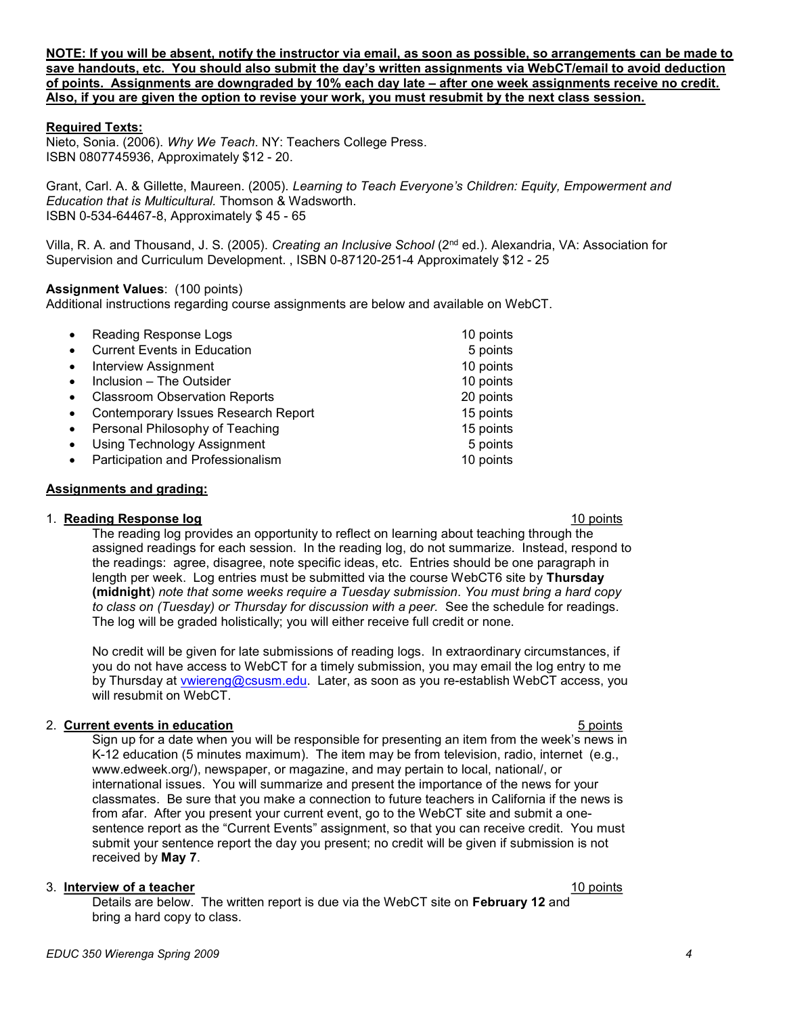NOTE: If you will be absent, notify the instructor via email, as soon as possible, so arrangements can be made to save handouts, etc. You should also submit the day's written assignments via WebCT/email to avoid deduction of points. Assignments are downgraded by 10% each day late – after one week assignments receive no credit. Also, if you are given the option to revise your work, you must resubmit by the next class session.

#### Required Texts:

Nieto, Sonia. (2006). Why We Teach. NY: Teachers College Press. ISBN 0807745936, Approximately \$12 - 20.

Grant, Carl. A. & Gillette, Maureen. (2005). Learning to Teach Evervone's Children: Equity, Empowerment and Education that is Multicultural. Thomson & Wadsworth. ISBN 0-534-64467-8, Approximately \$ 45 - 65

Villa, R. A. and Thousand, J. S. (2005). Creating an Inclusive School (2nd ed.). Alexandria, VA: Association for Supervision and Curriculum Development. , ISBN 0-87120-251-4 Approximately \$12 - 25

#### Assignment Values: (100 points)

Additional instructions regarding course assignments are below and available on WebCT.

| $\bullet$ | Reading Response Logs                | 10 points |
|-----------|--------------------------------------|-----------|
|           | <b>Current Events in Education</b>   | 5 points  |
|           | <b>Interview Assignment</b>          | 10 points |
|           | Inclusion - The Outsider             | 10 points |
|           | <b>Classroom Observation Reports</b> | 20 points |
| $\bullet$ | Contemporary Issues Research Report  | 15 points |
| $\bullet$ | Personal Philosophy of Teaching      | 15 points |
|           | <b>Using Technology Assignment</b>   | 5 points  |
|           | Participation and Professionalism    | 10 points |

#### Assignments and grading:

#### 1. **Reading Response log** 10 points and 20 points and 20 points and 20 points are not been applied to the 10 points of the 10 points of the 10 points of the 10 points of the 10 points of the 10 points of the 10 points of t

The reading log provides an opportunity to reflect on learning about teaching through the assigned readings for each session. In the reading log, do not summarize. Instead, respond to the readings: agree, disagree, note specific ideas, etc. Entries should be one paragraph in length per week. Log entries must be submitted via the course WebCT6 site by Thursday (midnight) note that some weeks require a Tuesday submission. You must bring a hard copy to class on (Tuesday) or Thursday for discussion with a peer. See the schedule for readings. The log will be graded holistically; you will either receive full credit or none.

No credit will be given for late submissions of reading logs. In extraordinary circumstances, if you do not have access to WebCT for a timely submission, you may email the log entry to me by Thursday at vwiereng@csusm.edu. Later, as soon as you re-establish WebCT access, you will resubmit on WebCT.

#### 2. Current events in education 6 points in the set of the set of the set of the set of the set of the set of the set of the set of the set of the set of the set of the set of the set of the set of the set of the set of the

Sign up for a date when you will be responsible for presenting an item from the week's news in K-12 education (5 minutes maximum). The item may be from television, radio, internet (e.g., www.edweek.org/), newspaper, or magazine, and may pertain to local, national/, or international issues. You will summarize and present the importance of the news for your classmates. Be sure that you make a connection to future teachers in California if the news is from afar. After you present your current event, go to the WebCT site and submit a onesentence report as the "Current Events" assignment, so that you can receive credit. You must submit your sentence report the day you present; no credit will be given if submission is not received by May 7.

#### 3. Interview of a teacher 10 points and the set of the set of the set of the set of the set of the set of the set of the set of the set of the set of the set of the set of the set of the set of the set of the set of the se

Details are below. The written report is due via the WebCT site on February 12 and bring a hard copy to class.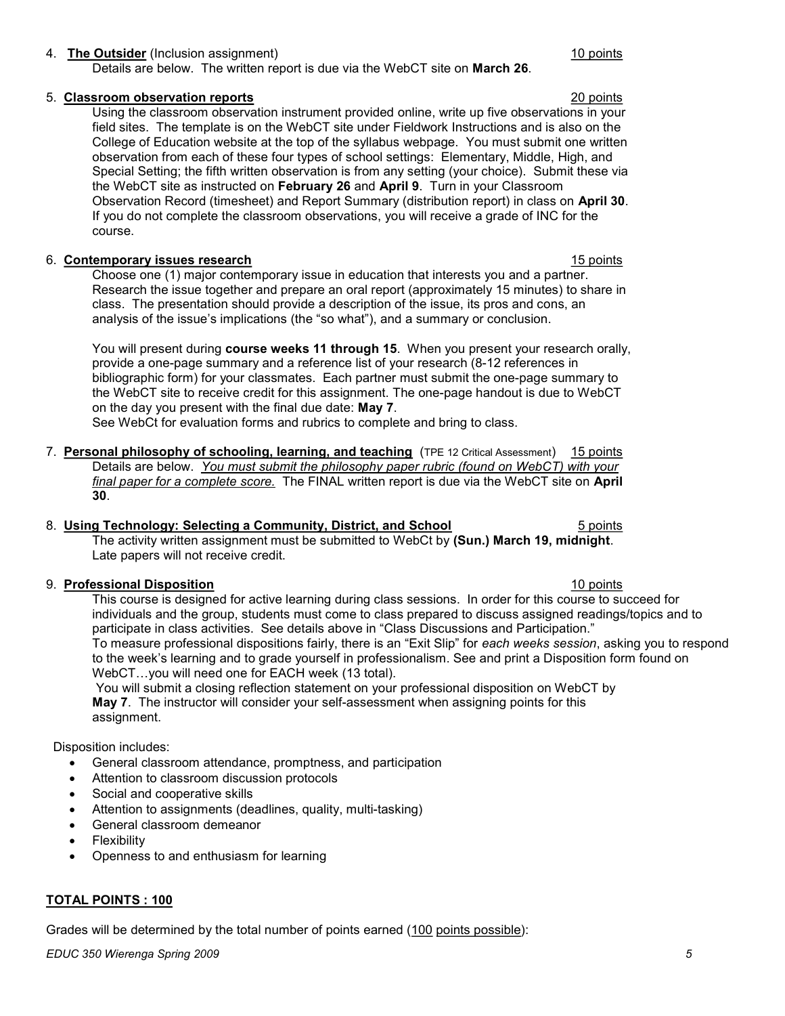### 4. The Outsider (Inclusion assignment) 10 points and the United States of the United States and Theorem and The District of the United States and Theorem and The District of the United States and Theorem and Theorem and Th

Details are below. The written report is due via the WebCT site on March 26.

#### 5. Classroom observation reports 20 points

Using the classroom observation instrument provided online, write up five observations in your field sites. The template is on the WebCT site under Fieldwork Instructions and is also on the College of Education website at the top of the syllabus webpage. You must submit one written observation from each of these four types of school settings: Elementary, Middle, High, and Special Setting; the fifth written observation is from any setting (your choice). Submit these via the WebCT site as instructed on February 26 and April 9. Turn in your Classroom Observation Record (timesheet) and Report Summary (distribution report) in class on April 30. If you do not complete the classroom observations, you will receive a grade of INC for the course.

#### 6. Contemporary issues research 15 points and the search 15 points of the search 15 points of the search 15 points of the search 15 points of the search 15 points of the search 15 points of the search 15 points of the sear

Choose one (1) major contemporary issue in education that interests you and a partner. Research the issue together and prepare an oral report (approximately 15 minutes) to share in class. The presentation should provide a description of the issue, its pros and cons, an analysis of the issue's implications (the "so what"), and a summary or conclusion.

You will present during **course weeks 11 through 15.** When you present your research orally, provide a one-page summary and a reference list of your research (8-12 references in bibliographic form) for your classmates. Each partner must submit the one-page summary to the WebCT site to receive credit for this assignment. The one-page handout is due to WebCT on the day you present with the final due date: May 7.

See WebCt for evaluation forms and rubrics to complete and bring to class.

7. Personal philosophy of schooling, learning, and teaching (TPE 12 Critical Assessment) 15 points Details are below. You must submit the philosophy paper rubric (found on WebCT) with your final paper for a complete score. The FINAL written report is due via the WebCT site on April 30.

#### 8. Using Technology: Selecting a Community, District, and School 5 points 5 points

The activity written assignment must be submitted to WebCt by (Sun.) March 19, midnight. Late papers will not receive credit.

#### 9. **Professional Disposition** 10 points 10 points 10 points 10 points 10 points 10 points 10 points 10 points 10 points 10 points 10 points 10 points 10 points 10 points 10 points 10 points 10 points 10 points 10 points 10

This course is designed for active learning during class sessions. In order for this course to succeed for individuals and the group, students must come to class prepared to discuss assigned readings/topics and to participate in class activities. See details above in "Class Discussions and Participation." To measure professional dispositions fairly, there is an "Exit Slip" for each weeks session, asking you to respond to the week's learning and to grade yourself in professionalism. See and print a Disposition form found on WebCT…you will need one for EACH week (13 total).

 You will submit a closing reflection statement on your professional disposition on WebCT by May 7. The instructor will consider your self-assessment when assigning points for this assignment.

### Disposition includes:

- General classroom attendance, promptness, and participation
- Attention to classroom discussion protocols
- Social and cooperative skills
- Attention to assignments (deadlines, quality, multi-tasking)
- General classroom demeanor
- Flexibility
- Openness to and enthusiasm for learning

### TOTAL POINTS : 100

Grades will be determined by the total number of points earned (100 points possible):

EDUC 350 Wierenga Spring 2009 5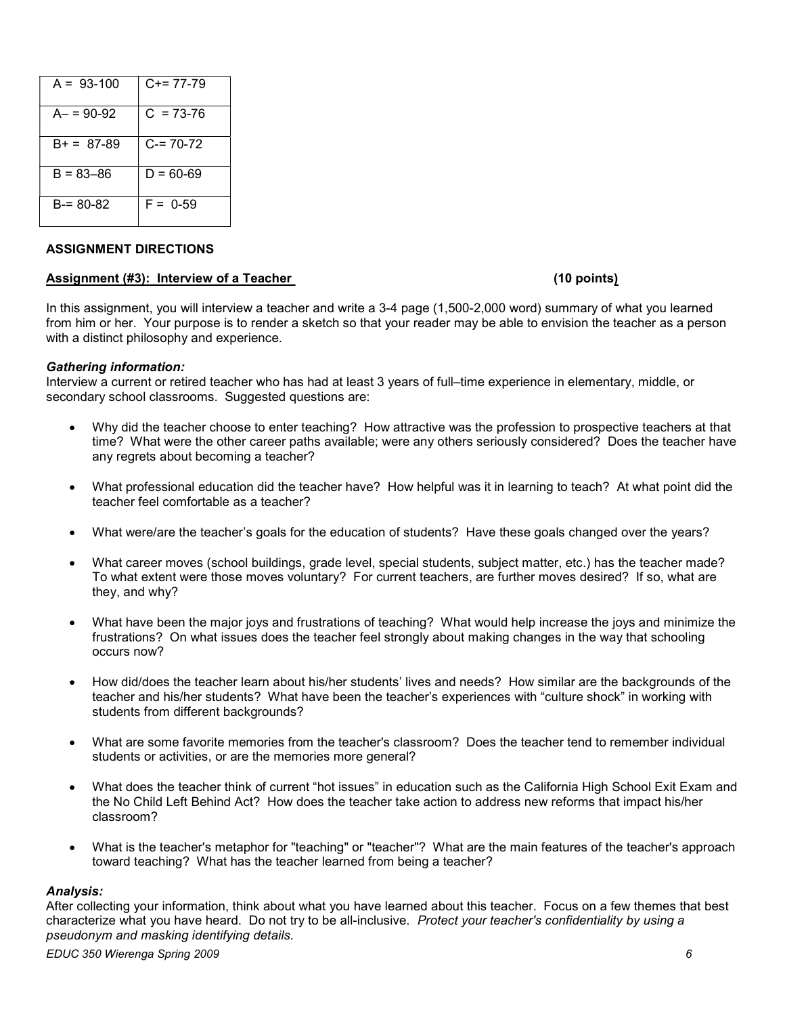| $A = 93-100$ | C+= 77-79     |
|--------------|---------------|
| $A = 90-92$  | $C = 73-76$   |
| $B+ = 87-89$ | $C = 70-72$   |
| B = 83–86    | $D = 60 - 69$ |
| B-= 80-82    | $F = 0.59$    |

### ASSIGNMENT DIRECTIONS

#### Assignment (#3): Interview of a Teacher (10 points) (10 points)

In this assignment, you will interview a teacher and write a 3-4 page (1,500-2,000 word) summary of what you learned from him or her. Your purpose is to render a sketch so that your reader may be able to envision the teacher as a person with a distinct philosophy and experience.

#### Gathering information:

Interview a current or retired teacher who has had at least 3 years of full–time experience in elementary, middle, or secondary school classrooms. Suggested questions are:

- Why did the teacher choose to enter teaching? How attractive was the profession to prospective teachers at that time? What were the other career paths available; were any others seriously considered? Does the teacher have any regrets about becoming a teacher?
- What professional education did the teacher have? How helpful was it in learning to teach? At what point did the teacher feel comfortable as a teacher?
- What were/are the teacher's goals for the education of students? Have these goals changed over the years?
- What career moves (school buildings, grade level, special students, subject matter, etc.) has the teacher made? To what extent were those moves voluntary? For current teachers, are further moves desired? If so, what are they, and why?
- What have been the major joys and frustrations of teaching? What would help increase the joys and minimize the frustrations? On what issues does the teacher feel strongly about making changes in the way that schooling occurs now?
- How did/does the teacher learn about his/her students' lives and needs? How similar are the backgrounds of the teacher and his/her students? What have been the teacher's experiences with "culture shock" in working with students from different backgrounds?
- What are some favorite memories from the teacher's classroom? Does the teacher tend to remember individual students or activities, or are the memories more general?
- What does the teacher think of current "hot issues" in education such as the California High School Exit Exam and the No Child Left Behind Act? How does the teacher take action to address new reforms that impact his/her classroom?
- What is the teacher's metaphor for "teaching" or "teacher"? What are the main features of the teacher's approach toward teaching? What has the teacher learned from being a teacher?

#### Analysis:

After collecting your information, think about what you have learned about this teacher. Focus on a few themes that best characterize what you have heard. Do not try to be all-inclusive. Protect your teacher's confidentiality by using a pseudonym and masking identifying details.

EDUC 350 Wierenga Spring 2009 6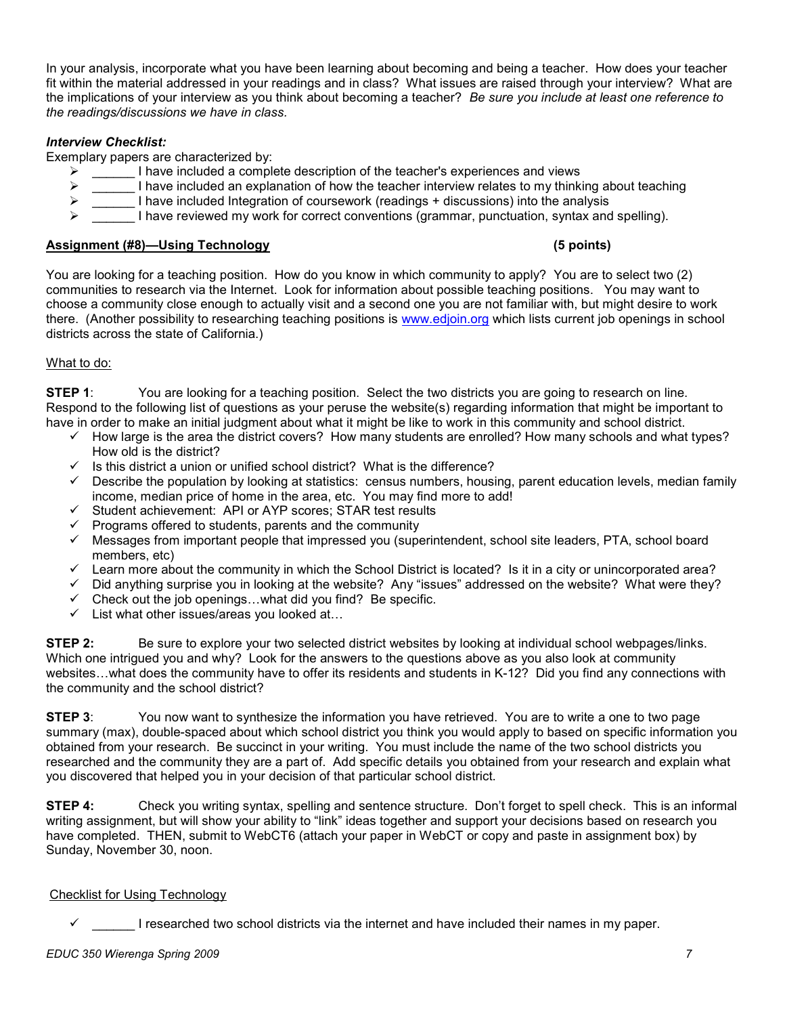In your analysis, incorporate what you have been learning about becoming and being a teacher. How does your teacher fit within the material addressed in your readings and in class? What issues are raised through your interview? What are the implications of your interview as you think about becoming a teacher? Be sure you include at least one reference to the readings/discussions we have in class.

# Interview Checklist:

Exemplary papers are characterized by:

- $\triangleright$  I have included a complete description of the teacher's experiences and views
- $\triangleright$  I have included an explanation of how the teacher interview relates to my thinking about teaching
- $\triangleright$  I have included Integration of coursework (readings + discussions) into the analysis
- I have reviewed my work for correct conventions (grammar, punctuation, syntax and spelling).

# Assignment (#8)—Using Technology (5 points)

You are looking for a teaching position. How do you know in which community to apply? You are to select two (2) communities to research via the Internet. Look for information about possible teaching positions. You may want to choose a community close enough to actually visit and a second one you are not familiar with, but might desire to work there. (Another possibility to researching teaching positions is www.edjoin.org which lists current job openings in school districts across the state of California.)

# What to do:

**STEP 1:** You are looking for a teaching position. Select the two districts you are going to research on line. Respond to the following list of questions as your peruse the website(s) regarding information that might be important to have in order to make an initial judgment about what it might be like to work in this community and school district.

- $\checkmark$  How large is the area the district covers? How many students are enrolled? How many schools and what types? How old is the district?
- $\checkmark$  Is this district a union or unified school district? What is the difference?
- $\checkmark$  Describe the population by looking at statistics: census numbers, housing, parent education levels, median family income, median price of home in the area, etc. You may find more to add!
- $\checkmark$  Student achievement: API or AYP scores; STAR test results
- Programs offered to students, parents and the community
- $\checkmark$  Messages from important people that impressed you (superintendent, school site leaders, PTA, school board members, etc)
- $\checkmark$  Learn more about the community in which the School District is located? Is it in a city or unincorporated area?
- $\checkmark$  Did anything surprise you in looking at the website? Any "issues" addressed on the website? What were they?
- $\checkmark$  Check out the job openings...what did you find? Be specific.
- $\checkmark$  List what other issues/areas you looked at...

**STEP 2:** Be sure to explore your two selected district websites by looking at individual school webpages/links. Which one intrigued you and why? Look for the answers to the questions above as you also look at community websites…what does the community have to offer its residents and students in K-12? Did you find any connections with the community and the school district?

**STEP 3:** You now want to synthesize the information you have retrieved. You are to write a one to two page summary (max), double-spaced about which school district you think you would apply to based on specific information you obtained from your research. Be succinct in your writing. You must include the name of the two school districts you researched and the community they are a part of. Add specific details you obtained from your research and explain what you discovered that helped you in your decision of that particular school district.

STEP 4: Check you writing syntax, spelling and sentence structure. Don't forget to spell check. This is an informal writing assignment, but will show your ability to "link" ideas together and support your decisions based on research you have completed. THEN, submit to WebCT6 (attach your paper in WebCT or copy and paste in assignment box) by Sunday, November 30, noon.

# Checklist for Using Technology

I researched two school districts via the internet and have included their names in my paper.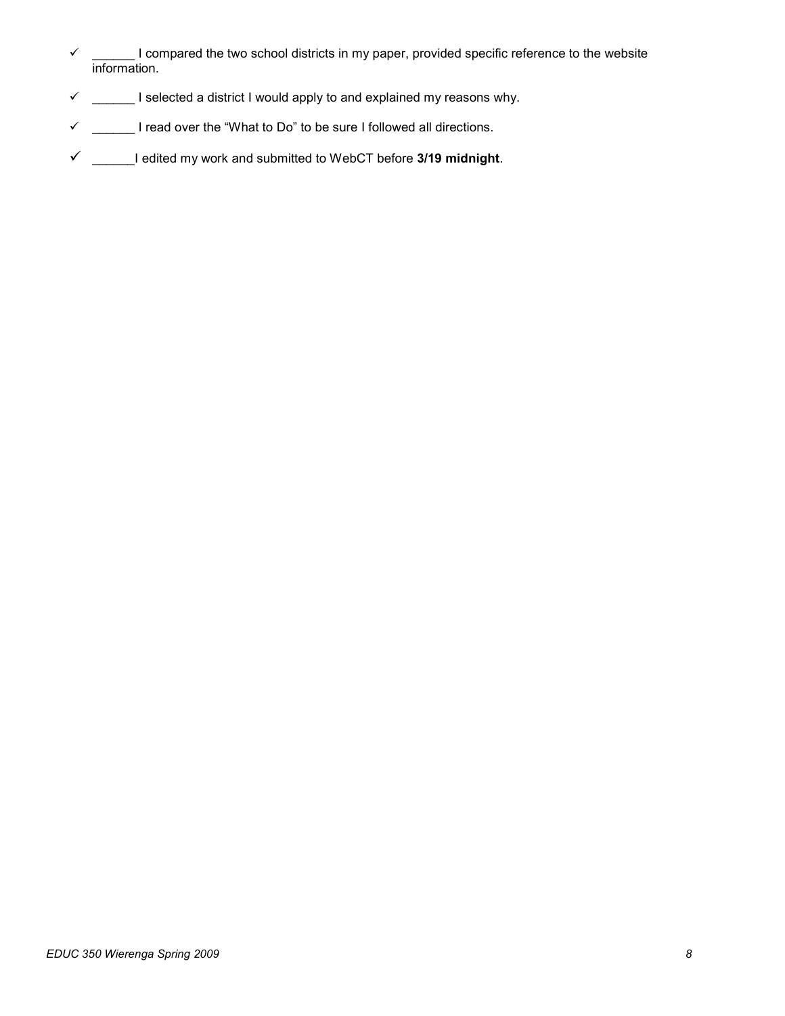- $\checkmark$  \_\_\_\_\_\_ I compared the two school districts in my paper, provided specific reference to the website information.
- $\checkmark$  \_\_\_\_\_\_ I selected a district I would apply to and explained my reasons why.
- $\checkmark$  \_\_\_\_\_\_ I read over the "What to Do" to be sure I followed all directions.
- $\checkmark$  \_\_\_\_\_\_I edited my work and submitted to WebCT before 3/19 midnight.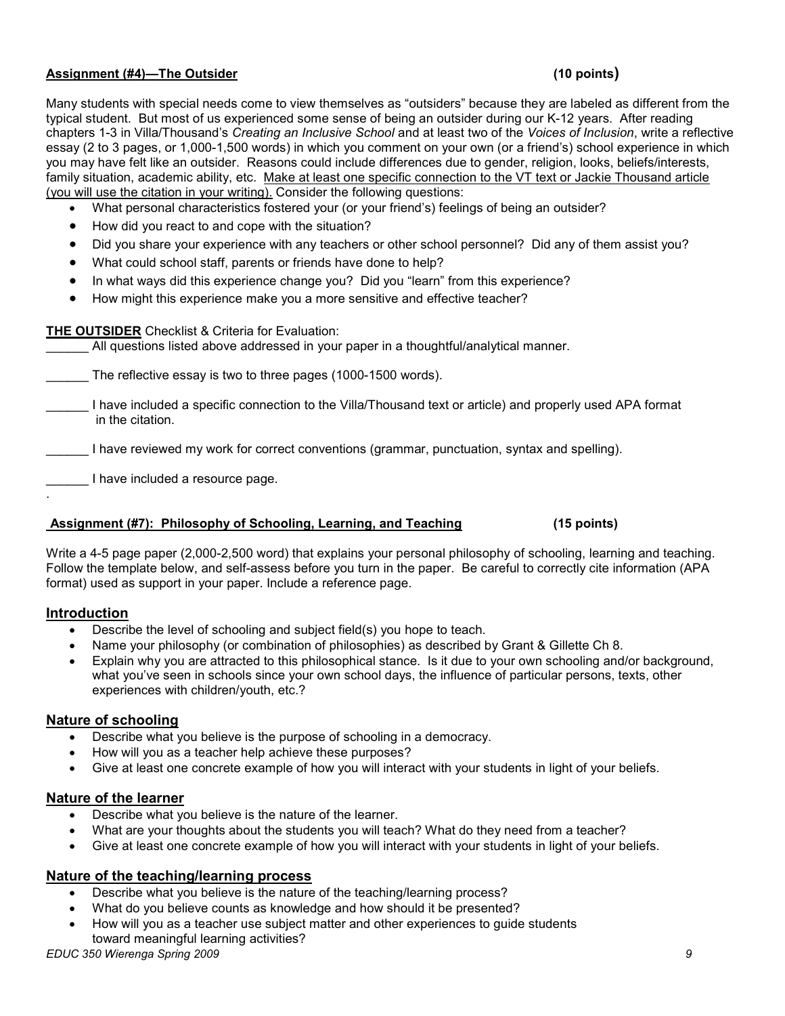### Assignment (#4)—The Outsider (10 points)

Many students with special needs come to view themselves as "outsiders" because they are labeled as different from the typical student. But most of us experienced some sense of being an outsider during our K-12 years. After reading chapters 1-3 in Villa/Thousand's Creating an Inclusive School and at least two of the Voices of Inclusion, write a reflective essay (2 to 3 pages, or 1,000-1,500 words) in which you comment on your own (or a friend's) school experience in which you may have felt like an outsider. Reasons could include differences due to gender, religion, looks, beliefs/interests, family situation, academic ability, etc. Make at least one specific connection to the VT text or Jackie Thousand article (you will use the citation in your writing). Consider the following questions:

- What personal characteristics fostered your (or your friend's) feelings of being an outsider?
- How did you react to and cope with the situation?
- Did you share your experience with any teachers or other school personnel? Did any of them assist you?
- What could school staff, parents or friends have done to help?
- In what ways did this experience change you? Did you "learn" from this experience?
- How might this experience make you a more sensitive and effective teacher?

# THE OUTSIDER Checklist & Criteria for Evaluation:

All questions listed above addressed in your paper in a thoughtful/analytical manner.

The reflective essay is two to three pages (1000-1500 words).

\_\_\_\_\_\_ I have included a specific connection to the Villa/Thousand text or article) and properly used APA format in the citation.

I have reviewed my work for correct conventions (grammar, punctuation, syntax and spelling).

\_\_\_\_\_\_ I have included a resource page.

#### Assignment (#7): Philosophy of Schooling, Learning, and Teaching (15 points)

Write a 4-5 page paper (2,000-2,500 word) that explains your personal philosophy of schooling, learning and teaching. Follow the template below, and self-assess before you turn in the paper. Be careful to correctly cite information (APA format) used as support in your paper. Include a reference page.

# Introduction

.

- Describe the level of schooling and subject field(s) you hope to teach.
- Name your philosophy (or combination of philosophies) as described by Grant & Gillette Ch 8.
- Explain why you are attracted to this philosophical stance. Is it due to your own schooling and/or background, what you've seen in schools since your own school days, the influence of particular persons, texts, other experiences with children/youth, etc.?

# Nature of schooling

- Describe what you believe is the purpose of schooling in a democracy.
- How will you as a teacher help achieve these purposes?
- Give at least one concrete example of how you will interact with your students in light of your beliefs.

# Nature of the learner

- Describe what you believe is the nature of the learner.
- What are your thoughts about the students you will teach? What do they need from a teacher?
- Give at least one concrete example of how you will interact with your students in light of your beliefs.

# Nature of the teaching/learning process

- Describe what you believe is the nature of the teaching/learning process?
- What do you believe counts as knowledge and how should it be presented?
- How will you as a teacher use subject matter and other experiences to guide students toward meaningful learning activities?

EDUC 350 Wierenga Spring 2009 9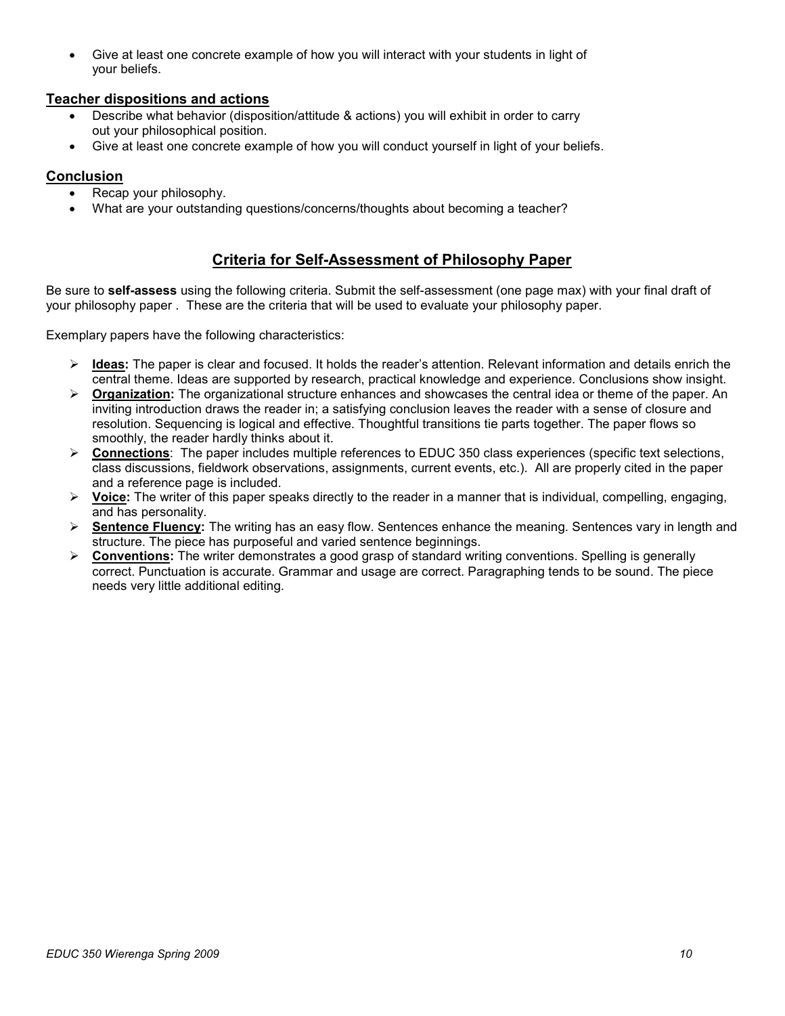Give at least one concrete example of how you will interact with your students in light of your beliefs.

# Teacher dispositions and actions

- Describe what behavior (disposition/attitude & actions) you will exhibit in order to carry out your philosophical position.
- Give at least one concrete example of how you will conduct yourself in light of your beliefs.

# Conclusion

- Recap your philosophy.
- What are your outstanding questions/concerns/thoughts about becoming a teacher?

# Criteria for Self-Assessment of Philosophy Paper

Be sure to **self-assess** using the following criteria. Submit the self-assessment (one page max) with your final draft of your philosophy paper . These are the criteria that will be used to evaluate your philosophy paper.

Exemplary papers have the following characteristics:

- $\triangleright$  Ideas: The paper is clear and focused. It holds the reader's attention. Relevant information and details enrich the central theme. Ideas are supported by research, practical knowledge and experience. Conclusions show insight.
- $\triangleright$  **Organization:** The organizational structure enhances and showcases the central idea or theme of the paper. An inviting introduction draws the reader in; a satisfying conclusion leaves the reader with a sense of closure and resolution. Sequencing is logical and effective. Thoughtful transitions tie parts together. The paper flows so smoothly, the reader hardly thinks about it.
- $\triangleright$  Connections: The paper includes multiple references to EDUC 350 class experiences (specific text selections, class discussions, fieldwork observations, assignments, current events, etc.). All are properly cited in the paper and a reference page is included.
- $\triangleright$  Voice: The writer of this paper speaks directly to the reader in a manner that is individual, compelling, engaging, and has personality.
- $\triangleright$  Sentence Fluency: The writing has an easy flow. Sentences enhance the meaning. Sentences vary in length and structure. The piece has purposeful and varied sentence beginnings.
- ▶ Conventions: The writer demonstrates a good grasp of standard writing conventions. Spelling is generally correct. Punctuation is accurate. Grammar and usage are correct. Paragraphing tends to be sound. The piece needs very little additional editing.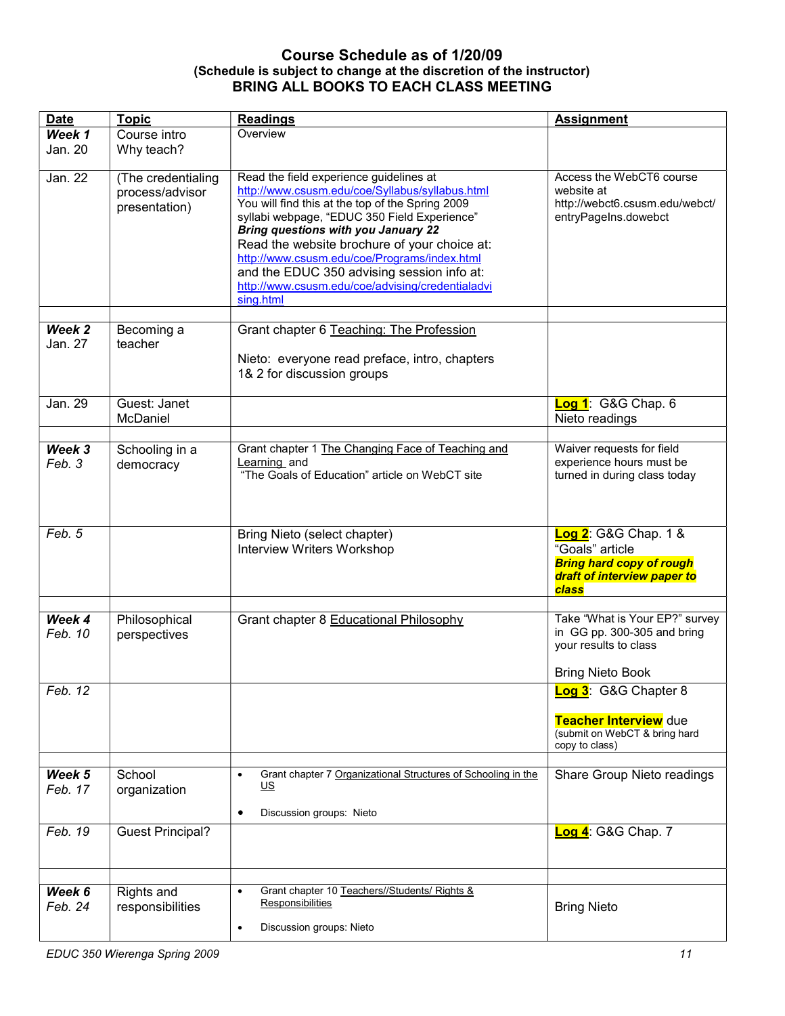# Course Schedule as of 1/20/09 (Schedule is subject to change at the discretion of the instructor) BRING ALL BOOKS TO EACH CLASS MEETING

| <b>Date</b> | <b>Topic</b>            | <b>Readings</b>                                                            | <b>Assignment</b>                                              |
|-------------|-------------------------|----------------------------------------------------------------------------|----------------------------------------------------------------|
| Week 1      | Course intro            | Overview                                                                   |                                                                |
| Jan. 20     | Why teach?              |                                                                            |                                                                |
|             |                         |                                                                            |                                                                |
| Jan. 22     | (The credentialing      | Read the field experience guidelines at                                    | Access the WebCT6 course                                       |
|             | process/advisor         | http://www.csusm.edu/coe/Syllabus/syllabus.html                            | website at                                                     |
|             | presentation)           | You will find this at the top of the Spring 2009                           | http://webct6.csusm.edu/webct/                                 |
|             |                         | syllabi webpage, "EDUC 350 Field Experience"                               | entryPageIns.dowebct                                           |
|             |                         | <b>Bring questions with you January 22</b>                                 |                                                                |
|             |                         | Read the website brochure of your choice at:                               |                                                                |
|             |                         | http://www.csusm.edu/coe/Programs/index.html                               |                                                                |
|             |                         | and the EDUC 350 advising session info at:                                 |                                                                |
|             |                         | http://www.csusm.edu/coe/advising/credentialadvi                           |                                                                |
|             |                         | sing.html                                                                  |                                                                |
| Week 2      | Becoming a              | Grant chapter 6 Teaching: The Profession                                   |                                                                |
| Jan. 27     | teacher                 |                                                                            |                                                                |
|             |                         |                                                                            |                                                                |
|             |                         | Nieto: everyone read preface, intro, chapters                              |                                                                |
|             |                         | 1& 2 for discussion groups                                                 |                                                                |
| Jan. 29     | Guest: Janet            |                                                                            | Log 1: G&G Chap. 6                                             |
|             | McDaniel                |                                                                            | Nieto readings                                                 |
|             |                         |                                                                            |                                                                |
| Week 3      | Schooling in a          | Grant chapter 1 The Changing Face of Teaching and                          | Waiver requests for field                                      |
| Feb. 3      | democracy               | Learning and                                                               | experience hours must be                                       |
|             |                         | "The Goals of Education" article on WebCT site                             | turned in during class today                                   |
|             |                         |                                                                            |                                                                |
|             |                         |                                                                            |                                                                |
|             |                         |                                                                            |                                                                |
| Feb. 5      |                         | Bring Nieto (select chapter)                                               | Log 2: G&G Chap. 1 &                                           |
|             |                         | <b>Interview Writers Workshop</b>                                          | "Goals" article                                                |
|             |                         |                                                                            | <b>Bring hard copy of rough</b><br>draft of interview paper to |
|             |                         |                                                                            | class                                                          |
|             |                         |                                                                            |                                                                |
| Week 4      | Philosophical           | Grant chapter 8 Educational Philosophy                                     | Take "What is Your EP?" survey                                 |
| Feb. 10     | perspectives            |                                                                            | in GG pp. 300-305 and bring                                    |
|             |                         |                                                                            | your results to class                                          |
|             |                         |                                                                            |                                                                |
|             |                         |                                                                            | <b>Bring Nieto Book</b>                                        |
| Feb. 12     |                         |                                                                            | Log 3: G&G Chapter 8                                           |
|             |                         |                                                                            | Teacher Interview due                                          |
|             |                         |                                                                            | (submit on WebCT & bring hard                                  |
|             |                         |                                                                            | copy to class)                                                 |
|             |                         |                                                                            |                                                                |
| Week 5      | School                  | Grant chapter 7 Organizational Structures of Schooling in the<br>$\bullet$ | Share Group Nieto readings                                     |
| Feb. 17     | organization            | US                                                                         |                                                                |
|             |                         | Discussion groups: Nieto<br>٠                                              |                                                                |
| Feb. 19     |                         |                                                                            |                                                                |
|             | <b>Guest Principal?</b> |                                                                            | Log 4: G&G Chap. 7                                             |
|             |                         |                                                                            |                                                                |
|             |                         |                                                                            |                                                                |
| Week 6      | Rights and              | Grant chapter 10 Teachers//Students/ Rights &<br>$\bullet$                 |                                                                |
| Feb. 24     | responsibilities        | Responsibilities                                                           | <b>Bring Nieto</b>                                             |
|             |                         |                                                                            |                                                                |
|             |                         | Discussion groups: Nieto<br>٠                                              |                                                                |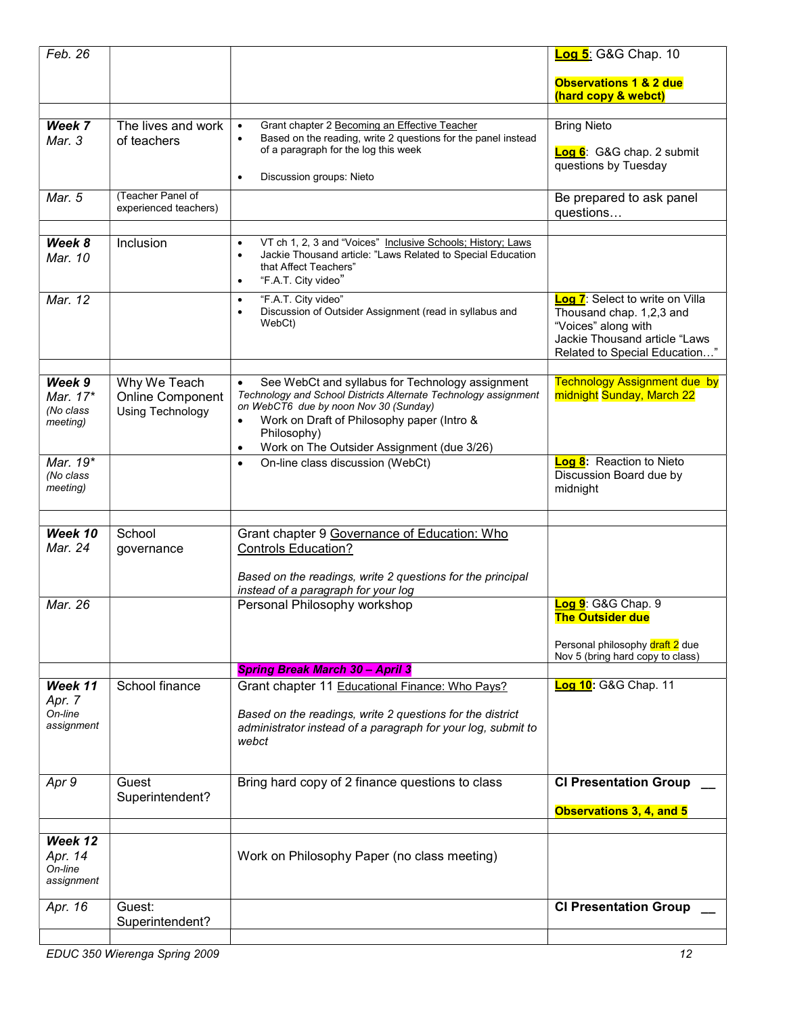| Feb. 26                                     |                                                             |                                                                                                                                                                                                                                                                                                   | <b>Log 5:</b> G&G Chap. 10                                                                                                                           |
|---------------------------------------------|-------------------------------------------------------------|---------------------------------------------------------------------------------------------------------------------------------------------------------------------------------------------------------------------------------------------------------------------------------------------------|------------------------------------------------------------------------------------------------------------------------------------------------------|
|                                             |                                                             |                                                                                                                                                                                                                                                                                                   | Observations 1 & 2 due<br>(hard copy & webct)                                                                                                        |
|                                             |                                                             |                                                                                                                                                                                                                                                                                                   |                                                                                                                                                      |
| Week 7<br>Mar. 3                            | The lives and work<br>of teachers                           | Grant chapter 2 Becoming an Effective Teacher<br>$\bullet$<br>Based on the reading, write 2 questions for the panel instead<br>$\bullet$<br>of a paragraph for the log this week<br>Discussion groups: Nieto<br>$\bullet$                                                                         | <b>Bring Nieto</b><br>Log 6: G&G chap. 2 submit<br>questions by Tuesday                                                                              |
| Mar. 5                                      | (Teacher Panel of<br>experienced teachers)                  |                                                                                                                                                                                                                                                                                                   | Be prepared to ask panel<br>questions                                                                                                                |
|                                             |                                                             |                                                                                                                                                                                                                                                                                                   |                                                                                                                                                      |
| Week 8<br>Mar. 10                           | Inclusion                                                   | VT ch 1, 2, 3 and "Voices" Inclusive Schools; History; Laws<br>$\bullet$<br>Jackie Thousand article: "Laws Related to Special Education<br>$\bullet$<br>that Affect Teachers"<br>"F.A.T. City video"<br>$\bullet$                                                                                 |                                                                                                                                                      |
| Mar. 12                                     |                                                             | "F.A.T. City video"<br>$\bullet$<br>Discussion of Outsider Assignment (read in syllabus and<br>$\bullet$<br>WebCt)                                                                                                                                                                                | Log 7: Select to write on Villa<br>Thousand chap. 1,2,3 and<br>"Voices" along with<br>Jackie Thousand article "Laws<br>Related to Special Education" |
| Week 9<br>Mar. 17*<br>(No class<br>meeting) | Why We Teach<br><b>Online Component</b><br>Using Technology | See WebCt and syllabus for Technology assignment<br>$\bullet$<br>Technology and School Districts Alternate Technology assignment<br>on WebCT6 due by noon Nov 30 (Sunday)<br>Work on Draft of Philosophy paper (Intro &<br>Philosophy)<br>Work on The Outsider Assignment (due 3/26)<br>$\bullet$ | <b>Technology Assignment due by</b><br>midnight Sunday, March 22                                                                                     |
| Mar. 19*<br>(No class<br>meeting)           |                                                             | On-line class discussion (WebCt)<br>$\bullet$                                                                                                                                                                                                                                                     | Log 8: Reaction to Nieto<br>Discussion Board due by<br>midnight                                                                                      |
|                                             |                                                             |                                                                                                                                                                                                                                                                                                   |                                                                                                                                                      |
| Week 10<br>Mar. 24                          | School<br>governance                                        | Grant chapter 9 Governance of Education: Who<br><b>Controls Education?</b>                                                                                                                                                                                                                        |                                                                                                                                                      |
|                                             |                                                             | Based on the readings, write 2 questions for the principal<br>instead of a paragraph for your log                                                                                                                                                                                                 |                                                                                                                                                      |
| Mar. 26                                     |                                                             | Personal Philosophy workshop                                                                                                                                                                                                                                                                      | Log 9: G&G Chap. 9<br><b>The Outsider due</b>                                                                                                        |
|                                             |                                                             |                                                                                                                                                                                                                                                                                                   | Personal philosophy draft 2 due<br>Nov 5 (bring hard copy to class)                                                                                  |
|                                             |                                                             | <b>Spring Break March 30 - April 3</b>                                                                                                                                                                                                                                                            |                                                                                                                                                      |
| Week 11<br>Apr. 7<br>On-line<br>assignment  | School finance                                              | Grant chapter 11 Educational Finance: Who Pays?<br>Based on the readings, write 2 questions for the district<br>administrator instead of a paragraph for your log, submit to<br>webct                                                                                                             | Log 10: G&G Chap. 11                                                                                                                                 |
| Apr 9                                       | Guest<br>Superintendent?                                    | Bring hard copy of 2 finance questions to class                                                                                                                                                                                                                                                   | <b>CI Presentation Group</b>                                                                                                                         |
|                                             |                                                             |                                                                                                                                                                                                                                                                                                   | Observations 3, 4, and 5                                                                                                                             |
| Week 12<br>Apr. 14<br>On-line<br>assignment |                                                             | Work on Philosophy Paper (no class meeting)                                                                                                                                                                                                                                                       |                                                                                                                                                      |
| Apr. 16                                     | Guest:<br>Superintendent?                                   |                                                                                                                                                                                                                                                                                                   | <b>CI Presentation Group</b>                                                                                                                         |
|                                             |                                                             |                                                                                                                                                                                                                                                                                                   |                                                                                                                                                      |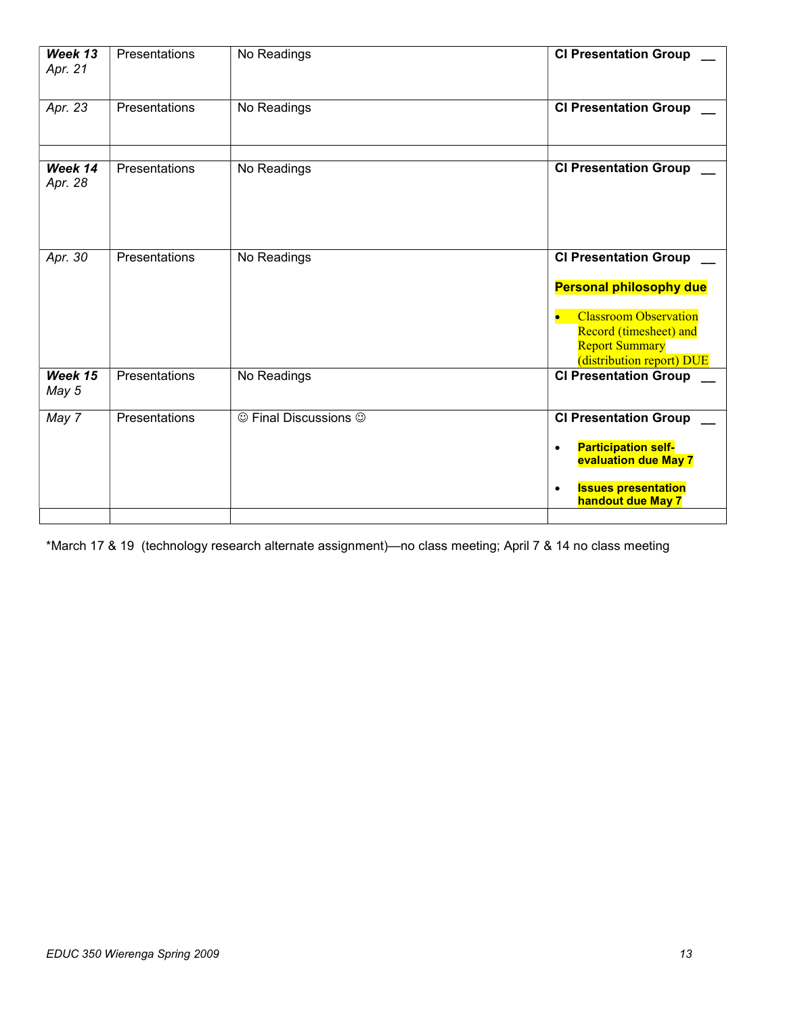| Week 13<br>Apr. 21   | Presentations | No Readings           | <b>CI Presentation Group</b>                                                                                                                                                   |
|----------------------|---------------|-----------------------|--------------------------------------------------------------------------------------------------------------------------------------------------------------------------------|
| Apr. 23              | Presentations | No Readings           | <b>CI Presentation Group</b>                                                                                                                                                   |
| Week 14<br>Apr. 28   | Presentations | No Readings           | <b>CI Presentation Group</b>                                                                                                                                                   |
| Apr. $3\overline{0}$ | Presentations | No Readings           | <b>CI Presentation Group</b><br><b>Personal philosophy due</b><br><b>Classroom Observation</b><br>Record (timesheet) and<br><b>Report Summary</b><br>(distribution report) DUE |
| Week 15<br>May 5     | Presentations | No Readings           | <b>CI Presentation Group</b>                                                                                                                                                   |
| May 7                | Presentations | © Final Discussions © | <b>CI Presentation Group</b><br><b>Participation self-</b><br>$\bullet$<br>evaluation due May 7<br><b>Issues presentation</b><br>$\bullet$<br><b>handout due May 7</b>         |

\*March 17 & 19 (technology research alternate assignment)—no class meeting; April 7 & 14 no class meeting